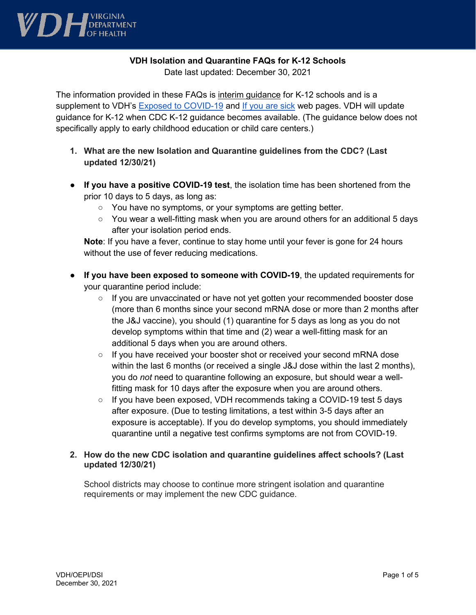

### **VDH Isolation and Quarantine FAQs for K-12 Schools**

Date last updated: December 30, 2021

The information provided in these FAQs is interim guidance for K-12 schools and is a supplement to VDH's Exposed to COVID-19 and If you are sick web pages. VDH will update guidance for K-12 when CDC K-12 guidance becomes available. (The guidance below does not specifically apply to early childhood education or child care centers.)

- **1. What are the new Isolation and Quarantine guidelines from the CDC? (Last updated 12/30/21)**
- **If you have a positive COVID-19 test**, the isolation time has been shortened from the prior 10 days to 5 days, as long as:
	- You have no symptoms, or your symptoms are getting better.
	- $\circ$  You wear a well-fitting mask when you are around others for an additional 5 days after your isolation period ends.

**Note**: If you have a fever, continue to stay home until your fever is gone for 24 hours without the use of fever reducing medications.

- **If you have been exposed to someone with COVID-19**, the updated requirements for your quarantine period include:
	- If you are unvaccinated or have not yet gotten your recommended booster dose (more than 6 months since your second mRNA dose or more than 2 months after the J&J vaccine), you should (1) quarantine for 5 days as long as you do not develop symptoms within that time and (2) wear a well-fitting mask for an additional 5 days when you are around others.
	- If you have received your booster shot or received your second mRNA dose within the last 6 months (or received a single J&J dose within the last 2 months), you do *not* need to quarantine following an exposure, but should wear a wellfitting mask for 10 days after the exposure when you are around others.
	- If you have been exposed, VDH recommends taking a COVID-19 test 5 days after exposure. (Due to testing limitations, a test within 3-5 days after an exposure is acceptable). If you do develop symptoms, you should immediately quarantine until a negative test confirms symptoms are not from COVID-19.

### **2. How do the new CDC isolation and quarantine guidelines affect schools? (Last updated 12/30/21)**

School districts may choose to continue more stringent isolation and quarantine requirements or may implement the new CDC guidance.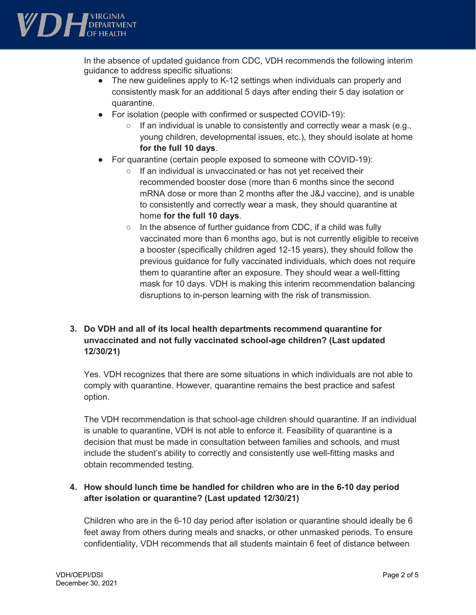

In the absence of updated guidance from CDC, VDH recommends the following interim guidance to address specific situations:

- The new guidelines apply to K-12 settings when individuals can properly and consistently mask for an additional 5 days after ending their 5 day isolation or quarantine.
- For isolation (people with confirmed or suspected COVID-19):
	- If an individual is unable to consistently and correctly wear a mask (e.g., young children, developmental issues, etc.), they should isolate at home **for the full 10 days**.
- For quarantine (certain people exposed to someone with COVID-19):
	- If an individual is unvaccinated or has not yet received their recommended booster dose (more than 6 months since the second mRNA dose or more than 2 months after the J&J vaccine), and is unable to consistently and correctly wear a mask, they should quarantine at home **for the full 10 days**.
	- In the absence of further guidance from CDC, if a child was fully vaccinated more than 6 months ago, but is not currently eligible to receive a booster (specifically children aged 12-15 years), they should follow the previous guidance for fully vaccinated individuals, which does not require them to quarantine after an exposure. They should wear a well-fitting mask for 10 days. VDH is making this interim recommendation balancing disruptions to in-person learning with the risk of transmission.

# **3. Do VDH and all of its local health departments recommend quarantine for unvaccinated and not fully vaccinated school-age children? (Last updated 12/30/21)**

Yes. VDH recognizes that there are some situations in which individuals are not able to comply with quarantine. However, quarantine remains the best practice and safest option.

The VDH recommendation is that school-age children should quarantine. If an individual is unable to quarantine, VDH is not able to enforce it. Feasibility of quarantine is a decision that must be made in consultation between families and schools, and must include the student's ability to correctly and consistently use well-fitting masks and obtain recommended testing.

# **4. How should lunch time be handled for children who are in the 6-10 day period after isolation or quarantine? (Last updated 12/30/21)**

Children who are in the 6-10 day period after isolation or quarantine should ideally be 6 feet away from others during meals and snacks, or other unmasked periods. To ensure confidentiality, VDH recommends that all students maintain 6 feet of distance between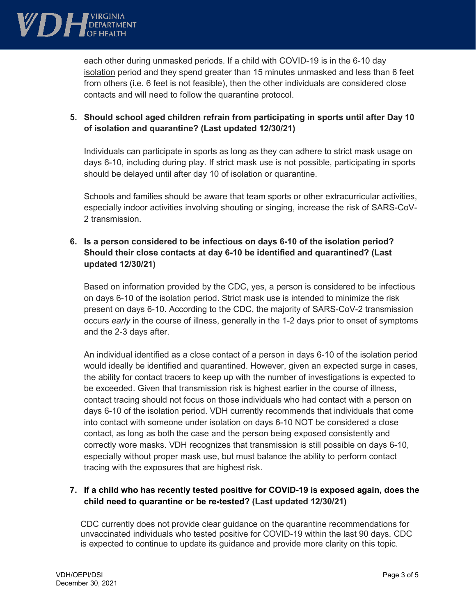

each other during unmasked periods. If a child with COVID-19 is in the 6-10 day isolation period and they spend greater than 15 minutes unmasked and less than 6 feet from others (i.e. 6 feet is not feasible), then the other individuals are considered close contacts and will need to follow the quarantine protocol.

## **5. Should school aged children refrain from participating in sports until after Day 10 of isolation and quarantine? (Last updated 12/30/21)**

Individuals can participate in sports as long as they can adhere to strict mask usage on days 6-10, including during play. If strict mask use is not possible, participating in sports should be delayed until after day 10 of isolation or quarantine.

Schools and families should be aware that team sports or other extracurricular activities, especially indoor activities involving shouting or singing, increase the risk of SARS-CoV-2 transmission.

### **6. Is a person considered to be infectious on days 6-10 of the isolation period? Should their close contacts at day 6-10 be identified and quarantined? (Last updated 12/30/21)**

Based on information provided by the CDC, yes, a person is considered to be infectious on days 6-10 of the isolation period. Strict mask use is intended to minimize the risk present on days 6-10. According to the CDC, the majority of SARS-CoV-2 transmission occurs *early* in the course of illness, generally in the 1-2 days prior to onset of symptoms and the 2-3 days after.

An individual identified as a close contact of a person in days 6-10 of the isolation period would ideally be identified and quarantined. However, given an expected surge in cases, the ability for contact tracers to keep up with the number of investigations is expected to be exceeded. Given that transmission risk is highest earlier in the course of illness, contact tracing should not focus on those individuals who had contact with a person on days 6-10 of the isolation period. VDH currently recommends that individuals that come into contact with someone under isolation on days 6-10 NOT be considered a close contact, as long as both the case and the person being exposed consistently and correctly wore masks. VDH recognizes that transmission is still possible on days 6-10, especially without proper mask use, but must balance the ability to perform contact tracing with the exposures that are highest risk.

# **7. If a child who has recently tested positive for COVID-19 is exposed again, does the child need to quarantine or be re-tested? (Last updated 12/30/21)**

CDC currently does not provide clear guidance on the quarantine recommendations for unvaccinated individuals who tested positive for COVID-19 within the last 90 days. CDC is expected to continue to update its guidance and provide more clarity on this topic.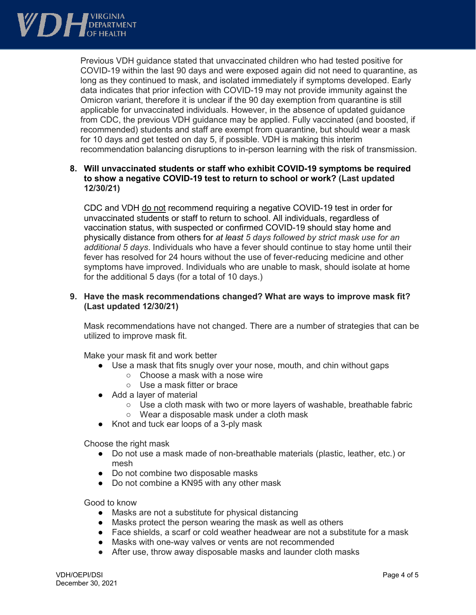

Previous VDH guidance stated that unvaccinated children who had tested positive for COVID-19 within the last 90 days and were exposed again did not need to quarantine, as long as they continued to mask, and isolated immediately if symptoms developed. Early data indicates that prior infection with COVID-19 may not provide immunity against the Omicron variant, therefore it is unclear if the 90 day exemption from quarantine is still applicable for unvaccinated individuals. However, in the absence of updated guidance from CDC, the previous VDH guidance may be applied. Fully vaccinated (and boosted, if recommended) students and staff are exempt from quarantine, but should wear a mask for 10 days and get tested on day 5, if possible. VDH is making this interim recommendation balancing disruptions to in-person learning with the risk of transmission.

### **8. Will unvaccinated students or staff who exhibit COVID-19 symptoms be required to show a negative COVID-19 test to return to school or work? (Last updated 12/30/21)**

CDC and VDH do not recommend requiring a negative COVID-19 test in order for unvaccinated students or staff to return to school. All individuals, regardless of vaccination status, with suspected or confirmed COVID-19 should stay home and physically distance from others for *at least 5 days followed by strict mask use for an additional 5 days*. Individuals who have a fever should continue to stay home until their fever has resolved for 24 hours without the use of fever-reducing medicine and other symptoms have improved. Individuals who are unable to mask, should isolate at home for the additional 5 days (for a total of 10 days.)

#### **9. Have the mask recommendations changed? What are ways to improve mask fit? (Last updated 12/30/21)**

Mask recommendations have not changed. There are a number of strategies that can be utilized to improve mask fit.

Make your mask fit and work better

- Use a mask that fits snugly over your nose, mouth, and chin without gaps
	- Choose a mask with a nose wire
	- Use a mask fitter or brace
- Add a layer of material
	- Use a cloth mask with two or more layers of washable, breathable fabric
	- Wear a disposable mask under a cloth mask
- Knot and tuck ear loops of a 3-ply mask

Choose the right mask

- Do not use a mask made of non-breathable materials (plastic, leather, etc.) or mesh
- Do not combine two disposable masks
- Do not combine a KN95 with any other mask

Good to know

- Masks are not a substitute for physical distancing
- Masks protect the person wearing the mask as well as others
- Face shields, a scarf or cold weather headwear are not a substitute for a mask
- Masks with one-way valves or vents are not recommended
- After use, throw away disposable masks and launder cloth masks